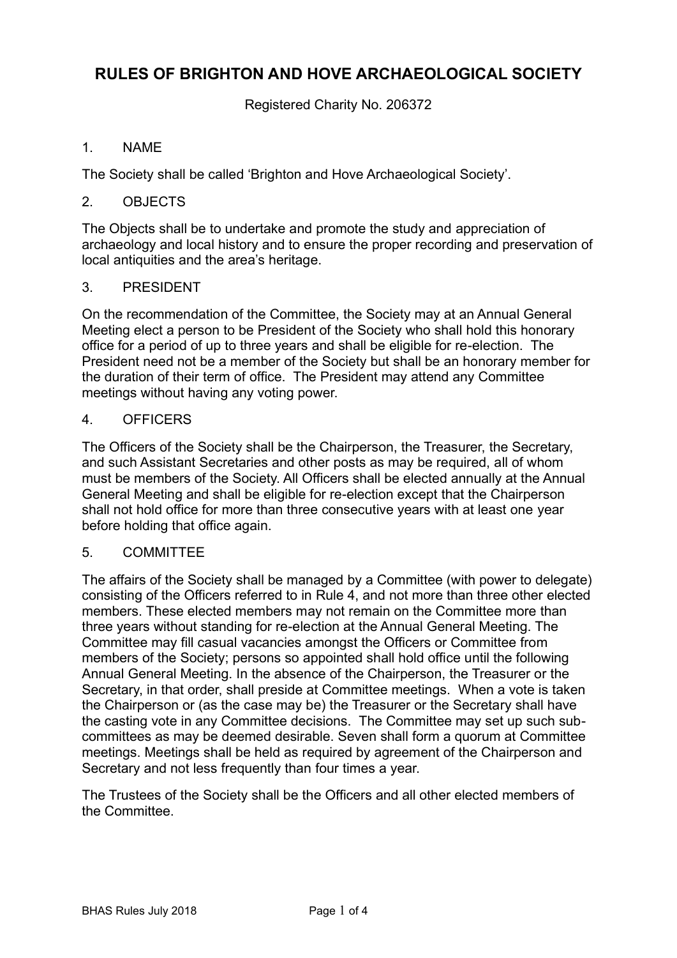# **RULES OF BRIGHTON AND HOVE ARCHAEOLOGICAL SOCIETY**

Registered Charity No. 206372

# 1. NAME

The Society shall be called 'Brighton and Hove Archaeological Society'.

## 2. OBJECTS

The Objects shall be to undertake and promote the study and appreciation of archaeology and local history and to ensure the proper recording and preservation of local antiquities and the area's heritage.

## 3. PRESIDENT

On the recommendation of the Committee, the Society may at an Annual General Meeting elect a person to be President of the Society who shall hold this honorary office for a period of up to three years and shall be eligible for re-election. The President need not be a member of the Society but shall be an honorary member for the duration of their term of office. The President may attend any Committee meetings without having any voting power.

# 4. OFFICERS

The Officers of the Society shall be the Chairperson, the Treasurer, the Secretary, and such Assistant Secretaries and other posts as may be required, all of whom must be members of the Society. All Officers shall be elected annually at the Annual General Meeting and shall be eligible for re-election except that the Chairperson shall not hold office for more than three consecutive years with at least one year before holding that office again.

## 5. COMMITTEE

The affairs of the Society shall be managed by a Committee (with power to delegate) consisting of the Officers referred to in Rule 4, and not more than three other elected members. These elected members may not remain on the Committee more than three years without standing for re-election at the Annual General Meeting. The Committee may fill casual vacancies amongst the Officers or Committee from members of the Society; persons so appointed shall hold office until the following Annual General Meeting. In the absence of the Chairperson, the Treasurer or the Secretary, in that order, shall preside at Committee meetings. When a vote is taken the Chairperson or (as the case may be) the Treasurer or the Secretary shall have the casting vote in any Committee decisions. The Committee may set up such subcommittees as may be deemed desirable. Seven shall form a quorum at Committee meetings. Meetings shall be held as required by agreement of the Chairperson and Secretary and not less frequently than four times a year.

The Trustees of the Society shall be the Officers and all other elected members of the Committee.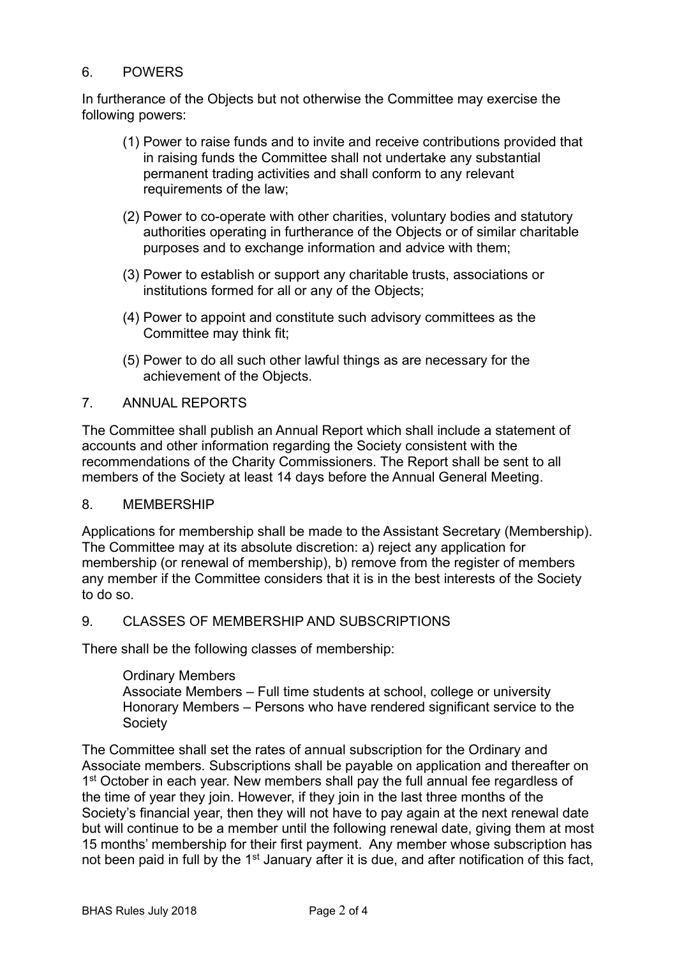### 6. POWERS

In furtherance of the Objects but not otherwise the Committee may exercise the following powers:

- (1) Power to raise funds and to invite and receive contributions provided that in raising funds the Committee shall not undertake any substantial permanent trading activities and shall conform to any relevant requirements of the law;
- (2) Power to co-operate with other charities, voluntary bodies and statutory authorities operating in furtherance of the Objects or of similar charitable purposes and to exchange information and advice with them;
- (3) Power to establish or support any charitable trusts, associations or institutions formed for all or any of the Objects;
- (4) Power to appoint and constitute such advisory committees as the Committee may think fit;
- (5) Power to do all such other lawful things as are necessary for the achievement of the Objects.

### 7. ANNUAL REPORTS

The Committee shall publish an Annual Report which shall include a statement of accounts and other information regarding the Society consistent with the recommendations of the Charity Commissioners. The Report shall be sent to all members of the Society at least 14 days before the Annual General Meeting.

### 8. MEMBERSHIP

Applications for membership shall be made to the Assistant Secretary (Membership). The Committee may at its absolute discretion: a) reject any application for membership (or renewal of membership), b) remove from the register of members any member if the Committee considers that it is in the best interests of the Society to do so.

### 9. CLASSES OF MEMBERSHIP AND SUBSCRIPTIONS

There shall be the following classes of membership:

#### Ordinary Members

Associate Members – Full time students at school, college or university Honorary Members – Persons who have rendered significant service to the Society

The Committee shall set the rates of annual subscription for the Ordinary and Associate members. Subscriptions shall be payable on application and thereafter on 1<sup>st</sup> October in each year. New members shall pay the full annual fee regardless of the time of year they join. However, if they join in the last three months of the Society's financial year, then they will not have to pay again at the next renewal date but will continue to be a member until the following renewal date, giving them at most 15 months' membership for their first payment. Any member whose subscription has not been paid in full by the 1<sup>st</sup> January after it is due, and after notification of this fact,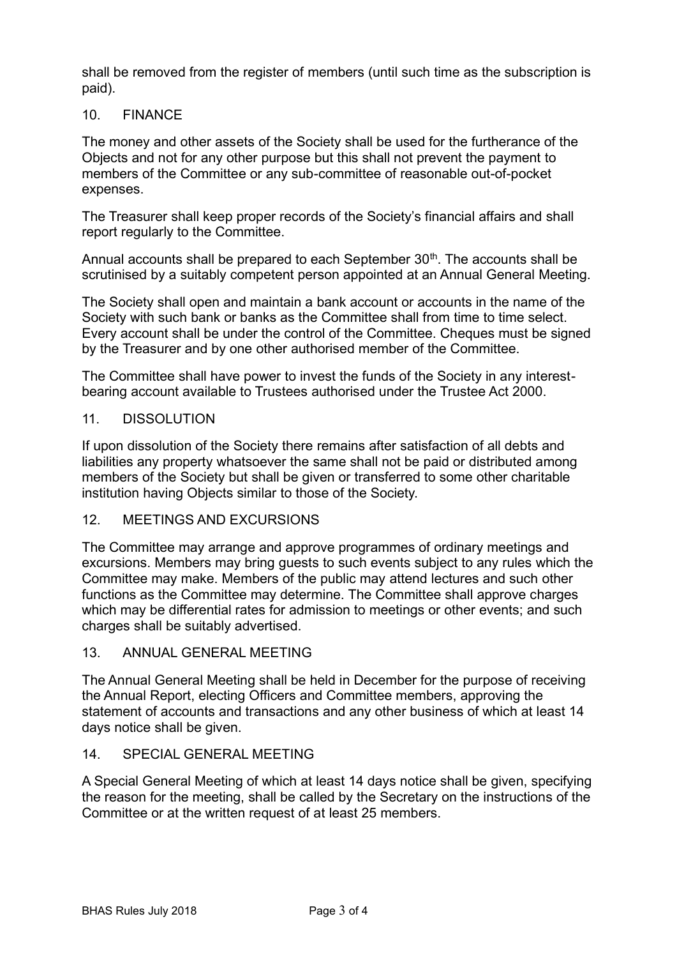shall be removed from the register of members (until such time as the subscription is paid).

# 10. FINANCE

The money and other assets of the Society shall be used for the furtherance of the Objects and not for any other purpose but this shall not prevent the payment to members of the Committee or any sub-committee of reasonable out-of-pocket expenses.

The Treasurer shall keep proper records of the Society's financial affairs and shall report regularly to the Committee.

Annual accounts shall be prepared to each September 30<sup>th</sup>. The accounts shall be scrutinised by a suitably competent person appointed at an Annual General Meeting.

The Society shall open and maintain a bank account or accounts in the name of the Society with such bank or banks as the Committee shall from time to time select. Every account shall be under the control of the Committee. Cheques must be signed by the Treasurer and by one other authorised member of the Committee.

The Committee shall have power to invest the funds of the Society in any interestbearing account available to Trustees authorised under the Trustee Act 2000.

### 11. DISSOLUTION

If upon dissolution of the Society there remains after satisfaction of all debts and liabilities any property whatsoever the same shall not be paid or distributed among members of the Society but shall be given or transferred to some other charitable institution having Objects similar to those of the Society.

# 12. MEETINGS AND EXCURSIONS

The Committee may arrange and approve programmes of ordinary meetings and excursions. Members may bring guests to such events subject to any rules which the Committee may make. Members of the public may attend lectures and such other functions as the Committee may determine. The Committee shall approve charges which may be differential rates for admission to meetings or other events; and such charges shall be suitably advertised.

## 13. ANNUAL GENERAL MEETING

The Annual General Meeting shall be held in December for the purpose of receiving the Annual Report, electing Officers and Committee members, approving the statement of accounts and transactions and any other business of which at least 14 days notice shall be given.

### 14. SPECIAL GENERAL MEETING

A Special General Meeting of which at least 14 days notice shall be given, specifying the reason for the meeting, shall be called by the Secretary on the instructions of the Committee or at the written request of at least 25 members.